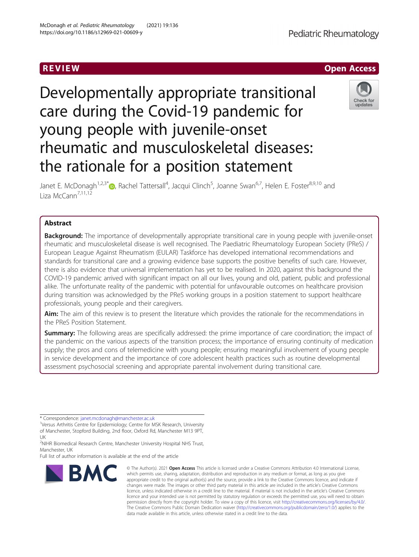# Developmentally appropriate transitional care during the Covid-19 pandemic for young people with juvenile-onset rheumatic and musculoskeletal diseases: the rationale for a position statement

Janet E. McDonagh<sup>1[,](http://orcid.org/0000-0002-4555-7270)2,3\*</sup>®, Rachel Tattersall<sup>4</sup>, Jacqui Clinch<sup>5</sup>, Joanne Swan<sup>6,7</sup>, Helen E. Foster<sup>8,9,10</sup> and Liza McCann<sup>7,11,12</sup>

# Abstract

**Background:** The importance of developmentally appropriate transitional care in young people with juvenile-onset rheumatic and musculoskeletal disease is well recognised. The Paediatric Rheumatology European Society (PReS) / European League Against Rheumatism (EULAR) Taskforce has developed international recommendations and standards for transitional care and a growing evidence base supports the positive benefits of such care. However, there is also evidence that universal implementation has yet to be realised. In 2020, against this background the COVID-19 pandemic arrived with significant impact on all our lives, young and old, patient, public and professional alike. The unfortunate reality of the pandemic with potential for unfavourable outcomes on healthcare provision during transition was acknowledged by the PReS working groups in a position statement to support healthcare professionals, young people and their caregivers.

Aim: The aim of this review is to present the literature which provides the rationale for the recommendations in the PReS Position Statement.

**Summary:** The following areas are specifically addressed: the prime importance of care coordination; the impact of the pandemic on the various aspects of the transition process; the importance of ensuring continuity of medication supply; the pros and cons of telemedicine with young people; ensuring meaningful involvement of young people in service development and the importance of core adolescent health practices such as routine developmental assessment psychosocial screening and appropriate parental involvement during transitional care.

\* Correspondence: [janet.mcdonagh@manchester.ac.uk](mailto:janet.mcdonagh@manchester.ac.uk) <sup>1</sup>

**IBMC** 

<sup>1</sup>Versus Arthritis Centre for Epidemiology; Centre for MSK Research, University of Manchester, Stopford Building, 2nd floor, Oxford Rd, Manchester M13 9PT, UK

<sup>2</sup>NIHR Biomedical Research Centre, Manchester University Hospital NHS Trust, Manchester, UK

Full list of author information is available at the end of the article

© The Author(s). 2021 Open Access This article is licensed under a Creative Commons Attribution 4.0 International License, which permits use, sharing, adaptation, distribution and reproduction in any medium or format, as long as you give

R EVI EW Open Access



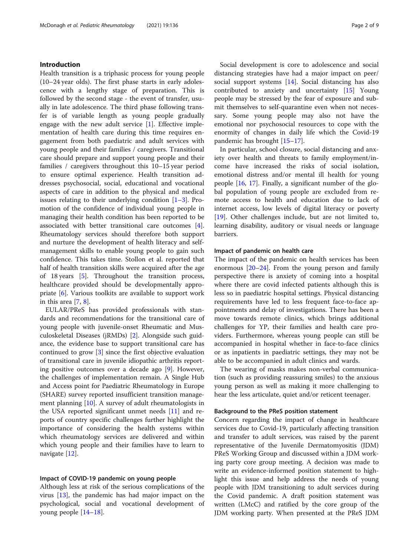# Introduction

Health transition is a triphasic process for young people (10–24 year olds). The first phase starts in early adolescence with a lengthy stage of preparation. This is followed by the second stage - the event of transfer, usually in late adolescence. The third phase following transfer is of variable length as young people gradually engage with the new adult service [\[1](#page-6-0)]. Effective implementation of health care during this time requires engagement from both paediatric and adult services with young people and their families / caregivers. Transitional care should prepare and support young people and their families / caregivers throughout this 10–15 year period to ensure optimal experience. Health transition addresses psychosocial, social, educational and vocational aspects of care in addition to the physical and medical issues relating to their underlying condition  $[1-3]$  $[1-3]$  $[1-3]$  $[1-3]$  $[1-3]$ . Promotion of the confidence of individual young people in managing their health condition has been reported to be associated with better transitional care outcomes [\[4](#page-6-0)]. Rheumatology services should therefore both support and nurture the development of health literacy and selfmanagement skills to enable young people to gain such confidence. This takes time. Stollon et al. reported that half of health transition skills were acquired after the age of 18 years [[5](#page-7-0)]. Throughout the transition process, healthcare provided should be developmentally appropriate [[6\]](#page-7-0). Various toolkits are available to support work in this area [\[7](#page-7-0), [8](#page-7-0)].

EULAR/PReS has provided professionals with standards and recommendations for the transitional care of young people with juvenile-onset Rheumatic and Musculoskeletal Diseases (jRMDs) [[2\]](#page-6-0). Alongside such guidance, the evidence base to support transitional care has continued to grow [\[3\]](#page-6-0) since the first objective evaluation of transitional care in juvenile idiopathic arthritis reporting positive outcomes over a decade ago [\[9](#page-7-0)]. However, the challenges of implementation remain. A Single Hub and Access point for Paediatric Rheumatology in Europe (SHARE) survey reported insufficient transition management planning [[10](#page-7-0)]. A survey of adult rheumatologists in the USA reported significant unmet needs [[11\]](#page-7-0) and reports of country specific challenges further highlight the importance of considering the health systems within which rheumatology services are delivered and within which young people and their families have to learn to navigate [\[12](#page-7-0)].

#### Impact of COVID-19 pandemic on young people

Although less at risk of the serious complications of the virus [\[13\]](#page-7-0), the pandemic has had major impact on the psychological, social and vocational development of young people [[14](#page-7-0)–[18](#page-7-0)].

Social development is core to adolescence and social distancing strategies have had a major impact on peer/ social support systems [[14](#page-7-0)]. Social distancing has also contributed to anxiety and uncertainty [\[15](#page-7-0)] Young people may be stressed by the fear of exposure and submit themselves to self-quarantine even when not necessary. Some young people may also not have the emotional nor psychosocial resources to cope with the enormity of changes in daily life which the Covid-19 pandemic has brought [\[15](#page-7-0)–[17\]](#page-7-0).

In particular, school closure, social distancing and anxiety over health and threats to family employment/income have increased the risks of social isolation, emotional distress and/or mental ill health for young people [\[16](#page-7-0), [17\]](#page-7-0). Finally, a significant number of the global population of young people are excluded from remote access to health and education due to lack of internet access, low levels of digital literacy or poverty [[19\]](#page-7-0). Other challenges include, but are not limited to, learning disability, auditory or visual needs or language barriers.

# Impact of pandemic on health care

The impact of the pandemic on health services has been enormous  $[20-24]$  $[20-24]$  $[20-24]$ . From the young person and family perspective there is anxiety of coming into a hospital where there are covid infected patients although this is less so in paediatric hospital settings. Physical distancing requirements have led to less frequent face-to-face appointments and delay of investigations. There has been a move towards remote clinics, which brings additional challenges for YP, their families and health care providers. Furthermore, whereas young people can still be accompanied in hospital whether in face-to-face clinics or as inpatients in paediatric settings, they may not be able to be accompanied in adult clinics and wards.

The wearing of masks makes non-verbal communication (such as providing reassuring smiles) to the anxious young person as well as making it more challenging to hear the less articulate, quiet and/or reticent teenager.

# Background to the PReS position statement

Concern regarding the impact of change in healthcare services due to Covid-19, particularly affecting transition and transfer to adult services, was raised by the parent representative of the Juvenile Dermatomyositis (JDM) PReS Working Group and discussed within a JDM working party core group meeting. A decision was made to write an evidence-informed position statement to highlight this issue and help address the needs of young people with JDM transitioning to adult services during the Covid pandemic. A draft position statement was written (LMcC) and ratified by the core group of the JDM working party. When presented at the PReS JDM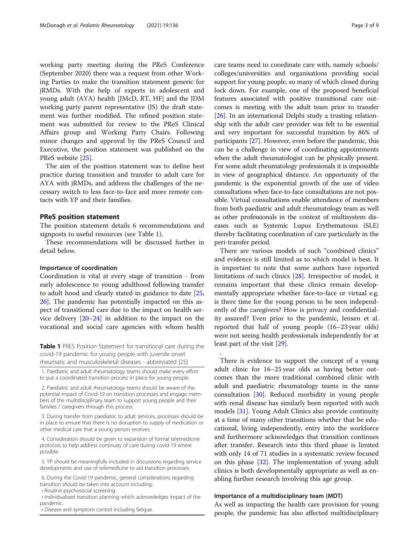working party meeting during the PReS Conference (September 2020) there was a request from other Working Parties to make the transition statement generic for jRMDs. With the help of experts in adolescent and young adult (AYA) health [JMcD, RT, HF] and the JDM working party parent representative (JS) the draft statement was further modified. The refined position statement was submitted for review to the PReS Clinical Affairs group and Working Party Chairs. Following minor changes and approval by the PReS Council and Executive, the position statement was published on the PReS website [[25\]](#page-7-0).

The aim of the position statement was to define best practice during transition and transfer to adult care for AYA with jRMDs, and address the challenges of the necessary switch to less face-to-face and more remote contacts with YP and their families.

# PReS position statement

The position statement details 6 recommendations and signposts to useful resources (see Table 1).

These recommendations will be discussed further in detail below.

# Importance of coordination

Coordination is vital at every stage of transition - from early adolescence to young adulthood following transfer to adult hood and clearly stated in guidance to date [[25](#page-7-0), [26\]](#page-7-0). The pandemic has potentially impacted on this aspect of transitional care due to the impact on health service delivery [\[20](#page-7-0)–[24\]](#page-7-0) in addition to the impact on the vocational and social care agencies with whom health

Table 1 PRES Position Statement for transitional care during the covid-19 pandemic for young people with juvenile onset rheumatic and musculoskeletal diseases - abbreviated [\[25\]](#page-7-0)

1. Paediatric and adult rheumatology teams should make every effort to put a coordinated transition process in place for young people.

2. Paediatric and adult rheumatology teams should be aware of the potential impact of Covid-19 on transition processes and engage members of the multidisciplinary team to support young people and their families / caregivers through this process.

3. During transfer from paediatric to adult services, processes should be in place to ensure that there is no disruption to supply of medication or other medical care that a young person receives.

4. Consideration should be given to expansion of formal telemedicine protocols to help address continuity of care during covid-19 where possible.

5. YP should be meaningfully included in discussions regarding service developments and use of telemedicine to aid transition processes.

6. During the Covid-19 pandemic, general considerations regarding transition should be taken into account including:

• Routine psychosocial screening.

• Individualised transition planning which acknowledges impact of the pandemic.

• Disease and symptom control including fatigue.

care teams need to coordinate care with, namely schools/ colleges/universities and organisations providing social support for young people, so many of which closed during lock down. For example, one of the proposed beneficial features associated with positive transitional care outcomes is meeting with the adult team prior to transfer [[26](#page-7-0)]. In an international Delphi study a trusting relationship with the adult care provider was felt to be essential and very important for successful transition by 86% of participants [\[27](#page-7-0)]. However, even before the pandemic, this can be a challenge in view of coordinating appointments when the adult rheumatologist can be physically present. For some adult rheumatology professionals it is impossible in view of geographical distance. An opportunity of the pandemic is the exponential growth of the use of video consultations when face-to-face consultations are not possible. Virtual consultations enable attendance of members from both paediatric and adult rheumatology team as well as other professionals in the context of multisystem diseases such as Systemic Lupus Erythematosus (SLE) thereby facilitating coordination of care particularly in the peri-transfer period.

There are various models of such "combined clinics" and evidence is still limited as to which model is best. It is important to note that some authors have reported limitations of such clinics [\[28](#page-7-0)]. Irrespective of model, it remains important that these clinics remain developmentally appropriate whether face-to-face or virtual e.g. is there time for the young person to be seen independently of the caregivers? How is privacy and confidentiality assured? Even prior to the pandemic, Jensen et al. reported that half of young people (16–23 year olds) were not seeing health professionals independently for at least part of the visit [[29\]](#page-7-0).

There is evidence to support the concept of a young adult clinic for 16–25 year olds as having better outcomes than the more traditional combined clinic with adult and paediatric rheumatology teams in the same consultation [\[30](#page-7-0)]. Reduced morbidity in young people with renal disease has similarly been reported with such models [\[31\]](#page-7-0). Young Adult Clinics also provide continuity at a time of many other transitions whether that be educational, living independently, entry into the workforce and furthermore acknowledges that transition continues after transfer. Research into this third phase is limited with only 14 of 71 studies in a systematic review focused on this phase [[32](#page-7-0)]. The implementation of young adult clinics is both developmentally appropriate as well as enabling further research involving this age group.

# Importance of a multidisciplinary team (MDT)

.

As well as impacting the health care provision for young people, the pandemic has also affected multidisciplinary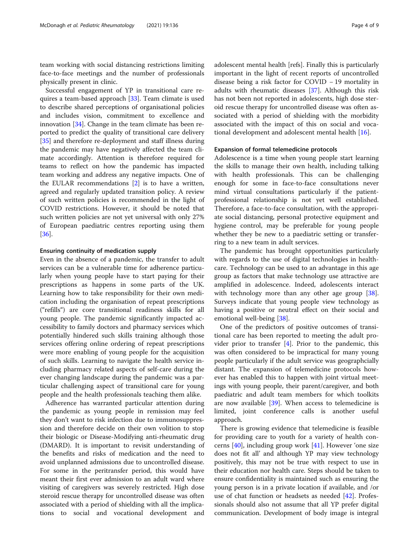team working with social distancing restrictions limiting face-to-face meetings and the number of professionals physically present in clinic.

Successful engagement of YP in transitional care requires a team-based approach [\[33](#page-7-0)]. Team climate is used to describe shared perceptions of organisational policies and includes vision, commitment to excellence and innovation [\[34](#page-7-0)]. Change in the team climate has been reported to predict the quality of transitional care delivery [[35\]](#page-7-0) and therefore re-deployment and staff illness during the pandemic may have negatively affected the team climate accordingly. Attention is therefore required for teams to reflect on how the pandemic has impacted team working and address any negative impacts. One of the EULAR recommendations [[2\]](#page-6-0) is to have a written, agreed and regularly updated transition policy. A review of such written policies is recommended in the light of COVID restrictions. However, it should be noted that such written policies are not yet universal with only 27% of European paediatric centres reporting using them [[36\]](#page-7-0).

# Ensuring continuity of medication supply

Even in the absence of a pandemic, the transfer to adult services can be a vulnerable time for adherence particularly when young people have to start paying for their prescriptions as happens in some parts of the UK. Learning how to take responsibility for their own medication including the organisation of repeat prescriptions ("refills") are core transitional readiness skills for all young people. The pandemic significantly impacted accessibility to family doctors and pharmacy services which potentially hindered such skills training although those services offering online ordering of repeat prescriptions were more enabling of young people for the acquisition of such skills. Learning to navigate the health service including pharmacy related aspects of self-care during the ever changing landscape during the pandemic was a particular challenging aspect of transitional care for young people and the health professionals teaching them alike.

Adherence has warranted particular attention during the pandemic as young people in remission may feel they don't want to risk infection due to immunosuppression and therefore decide on their own volition to stop their biologic or Disease-Modifying anti-rheumatic drug (DMARD). It is important to revisit understanding of the benefits and risks of medication and the need to avoid unplanned admissions due to uncontrolled disease. For some in the peritransfer period, this would have meant their first ever admission to an adult ward where visiting of caregivers was severely restricted. High dose steroid rescue therapy for uncontrolled disease was often associated with a period of shielding with all the implications to social and vocational development and adolescent mental health [refs]. Finally this is particularly important in the light of recent reports of uncontrolled disease being a risk factor for COVID − 19 mortality in adults with rheumatic diseases [[37\]](#page-7-0). Although this risk has not been not reported in adolescents, high dose steroid rescue therapy for uncontrolled disease was often associated with a period of shielding with the morbidity associated with the impact of this on social and vocational development and adolescent mental health [\[16](#page-7-0)].

# Expansion of formal telemedicine protocols

Adolescence is a time when young people start learning the skills to manage their own health, including talking with health professionals. This can be challenging enough for some in face-to-face consultations never mind virtual consultations particularly if the patientprofessional relationship is not yet well established. Therefore, a face-to-face consultation, with the appropriate social distancing, personal protective equipment and hygiene control, may be preferable for young people whether they be new to a paediatric setting or transferring to a new team in adult services.

The pandemic has brought opportunities particularly with regards to the use of digital technologies in healthcare. Technology can be used to an advantage in this age group as factors that make technology use attractive are amplified in adolescence. Indeed, adolescents interact with technology more than any other age group [\[38](#page-7-0)]. Surveys indicate that young people view technology as having a positive or neutral effect on their social and emotional well-being [[38\]](#page-7-0).

One of the predictors of positive outcomes of transitional care has been reported to meeting the adult provider prior to transfer [[4\]](#page-6-0). Prior to the pandemic, this was often considered to be impractical for many young people particularly if the adult service was geographcially distant. The expansion of telemedicine protocols however has enabled this to happen with joint virtual meetings with young people, their parent/caregiver, and both paediatric and adult team members for which toolkits are now available [[39](#page-7-0)]. When access to telemedicine is limited, joint conference calls is another useful approach.

There is growing evidence that telemedicine is feasible for providing care to youth for a variety of health concerns [[40](#page-8-0)], including group work [[41\]](#page-8-0). However 'one size does not fit all' and although YP may view technology positively, this may not be true with respect to use in their education nor health care. Steps should be taken to ensure confidentiality is maintained such as ensuring the young person is in a private location if available, and /or use of chat function or headsets as needed [[42\]](#page-8-0). Professionals should also not assume that all YP prefer digital communication. Development of body image is integral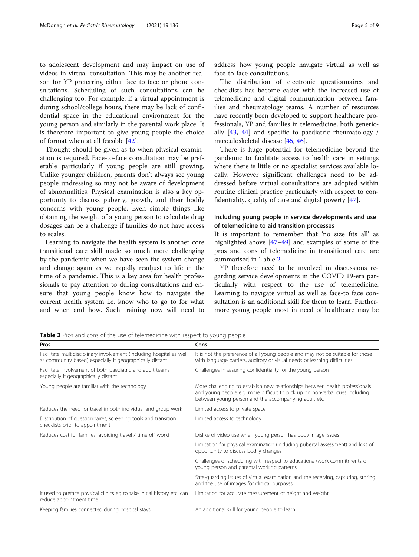to adolescent development and may impact on use of videos in virtual consultation. This may be another reason for YP preferring either face to face or phone consultations. Scheduling of such consultations can be challenging too. For example, if a virtual appointment is during school/college hours, there may be lack of confidential space in the educational environment for the young person and similarly in the parental work place. It is therefore important to give young people the choice of format when at all feasible [\[42\]](#page-8-0).

Thought should be given as to when physical examination is required. Face-to-face consultation may be preferable particularly if young people are still growing. Unlike younger children, parents don't always see young people undressing so may not be aware of development of abnormalities. Physical examination is also a key opportunity to discuss puberty, growth, and their bodily concerns with young people. Even simple things like obtaining the weight of a young person to calculate drug dosages can be a challenge if families do not have access to scales!

Learning to navigate the health system is another core transitional care skill made so much more challenging by the pandemic when we have seen the system change and change again as we rapidly readjust to life in the time of a pandemic. This is a key area for health professionals to pay attention to during consultations and ensure that young people know how to navigate the current health system i.e. know who to go to for what and when and how. Such training now will need to address how young people navigate virtual as well as face-to-face consultations.

The distribution of electronic questionnaires and checklists has become easier with the increased use of telemedicine and digital communication between families and rheumatology teams. A number of resources have recently been developed to support healthcare professionals, YP and families in telemedicine, both generically [[43](#page-8-0), [44](#page-8-0)] and specific to paediatric rheumatology / musculoskeletal disease [\[45,](#page-8-0) [46\]](#page-8-0).

There is huge potential for telemedicine beyond the pandemic to facilitate access to health care in settings where there is little or no specialist services available locally. However significant challenges need to be addressed before virtual consultations are adopted within routine clinical practice particularly with respect to confidentiality, quality of care and digital poverty [\[47\]](#page-8-0).

# Including young people in service developments and use of telemedicine to aid transition processes

It is important to remember that 'no size fits all' as highlighted above [[47](#page-8-0)–[49](#page-8-0)] and examples of some of the pros and cons of telemedicine in transitional care are summarised in Table 2.

YP therefore need to be involved in discussions regarding service developments in the COVID 19-era particularly with respect to the use of telemedicine. Learning to navigate virtual as well as face-to face consultation is an additional skill for them to learn. Furthermore young people most in need of healthcare may be

Table 2 Pros and cons of the use of telemedicine with respect to young people

| Pros                                                                                                                             | Cons                                                                                                                                                                                                               |
|----------------------------------------------------------------------------------------------------------------------------------|--------------------------------------------------------------------------------------------------------------------------------------------------------------------------------------------------------------------|
| Facilitate multidisciplinary involvement (including hospital as well<br>as community based) especially if geographically distant | It is not the preference of all young people and may not be suitable for those<br>with language barriers, auditory or visual needs or learning difficulties                                                        |
| Facilitate involvement of both paediatric and adult teams<br>especially if geographically distant                                | Challenges in assuring confidentiality for the young person                                                                                                                                                        |
| Young people are familiar with the technology                                                                                    | More challenging to establish new relationships between health professionals<br>and young people e.g. more difficult to pick up on nonverbal cues including<br>between young person and the accompanying adult etc |
| Reduces the need for travel in both individual and group work                                                                    | Limited access to private space                                                                                                                                                                                    |
| Distribution of questionnaires, screening tools and transition<br>checklists prior to appointment                                | Limited access to technology                                                                                                                                                                                       |
| Reduces cost for families (avoiding travel / time off work)                                                                      | Dislike of video use when young person has body image issues                                                                                                                                                       |
|                                                                                                                                  | Limitation for physical examination (including pubertal assessment) and loss of<br>opportunity to discuss bodily changes                                                                                           |
|                                                                                                                                  | Challenges of scheduling with respect to educational/work commitments of<br>young person and parental working patterns                                                                                             |
|                                                                                                                                  | Safe-quarding issues of virtual examination and the receiving, capturing, storing<br>and the use of images for clinical purposes                                                                                   |
| If used to preface physical clinics eg to take initial history etc. can<br>reduce appointment time                               | Limitation for accurate measurement of height and weight                                                                                                                                                           |
| Keeping families connected during hospital stays                                                                                 | An additional skill for young people to learn                                                                                                                                                                      |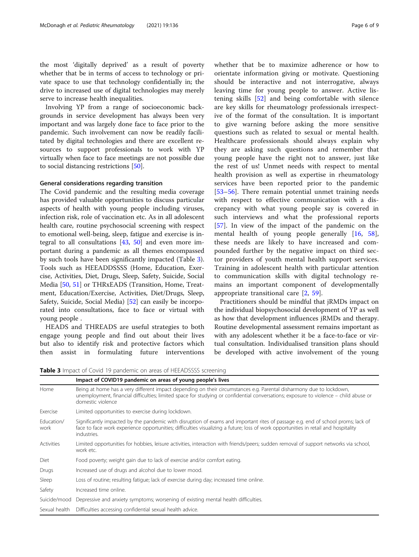the most 'digitally deprived' as a result of poverty whether that be in terms of access to technology or private space to use that technology confidentially in; the drive to increased use of digital technologies may merely serve to increase health inequalities.

Involving YP from a range of socioeconomic backgrounds in service development has always been very important and was largely done face to face prior to the pandemic. Such involvement can now be readily facilitated by digital technologies and there are excellent resources to support professionals to work with YP virtually when face to face meetings are not possible due to social distancing restrictions [\[50\]](#page-8-0).

# General considerations regarding transition

The Covid pandemic and the resulting media coverage has provided valuable opportunities to discuss particular aspects of health with young people including viruses, infection risk, role of vaccination etc. As in all adolescent health care, routine psychosocial screening with respect to emotional well-being, sleep, fatigue and exercise is integral to all consultations  $[43, 50]$  $[43, 50]$  $[43, 50]$  and even more important during a pandemic as all themes encompassed by such tools have been significantly impacted (Table 3). Tools such as HEEADDSSSS (Home, Education, Exercise, Activities, Diet, Drugs, Sleep, Safety, Suicide, Social Media [\[50](#page-8-0), [51](#page-8-0)] or THRxEADS (Transition, Home, Treatment, Education/Exercise, Activities, Diet/Drugs, Sleep, Safety, Suicide, Social Media) [[52](#page-8-0)] can easily be incorporated into consultations, face to face or virtual with young people .

HEADS and THREADS are useful strategies to both engage young people and find out about their lives but also to identify risk and protective factors which then assist in formulating future interventions

whether that be to maximize adherence or how to orientate information giving or motivate. Questioning should be interactive and not interrogative, always leaving time for young people to answer. Active listening skills [\[52](#page-8-0)] and being comfortable with silence are key skills for rheumatology professionals irrespective of the format of the consultation. It is important to give warning before asking the more sensitive questions such as related to sexual or mental health. Healthcare professionals should always explain why they are asking such questions and remember that young people have the right not to answer, just like the rest of us! Unmet needs with respect to mental health provision as well as expertise in rheumatology services have been reported prior to the pandemic [[53](#page-8-0)–[56\]](#page-8-0). There remain potential unmet training needs with respect to effective communication with a discrepancy with what young people say is covered in such interviews and what the professional reports [[57\]](#page-8-0). In view of the impact of the pandemic on the mental health of young people generally [[16,](#page-7-0) [58](#page-8-0)], these needs are likely to have increased and compounded further by the negative impact on third sector providers of youth mental health support services. Training in adolescent health with particular attention to communication skills with digital technology remains an important component of developmentally appropriate transitional care [\[2](#page-6-0), [59](#page-8-0)].

Practitioners should be mindful that jRMDs impact on the individual biopsychosocial development of YP as well as how that development influences jRMDs and therapy. Routine developmental assessment remains important as with any adolescent whether it be a face-to-face or virtual consultation. Individualised transition plans should be developed with active involvement of the young

**Table 3** Impact of Covid 19 pandemic on areas of HFFADSSSS screening

| $\bullet$ . The $\bullet$ is the common the contract of the case of the costs send think |                                                                                                                                                                                                                                                                                        |  |
|------------------------------------------------------------------------------------------|----------------------------------------------------------------------------------------------------------------------------------------------------------------------------------------------------------------------------------------------------------------------------------------|--|
|                                                                                          | Impact of COVID19 pandemic on areas of young people's lives                                                                                                                                                                                                                            |  |
| Home                                                                                     | Being at home has a very different impact depending on their circumstances e.g. Parental disharmony due to lockdown,<br>unemployment, financial difficulties; limited space for studying or confidential conversations; exposure to violence - child abuse or<br>domestic violence     |  |
| Exercise                                                                                 | Limited opportunities to exercise during lockdown.                                                                                                                                                                                                                                     |  |
| Education/<br>work                                                                       | Significantly impacted by the pandemic with disruption of exams and important rites of passage e.g. end of school proms; lack of<br>face to face work experience opportunities; difficulties visualizing a future; loss of work opportunities in retail and hospitality<br>industries. |  |
| <b>Activities</b>                                                                        | Limited opportunities for hobbies, leisure activities, interaction with friends/peers; sudden removal of support networks via school,<br>work etc.                                                                                                                                     |  |
| Diet                                                                                     | Food poverty; weight gain due to lack of exercise and/or comfort eating.                                                                                                                                                                                                               |  |
| Drugs                                                                                    | Increased use of drugs and alcohol due to lower mood.                                                                                                                                                                                                                                  |  |
| Sleep                                                                                    | Loss of routine; resulting fatigue; lack of exercise during day; increased time online.                                                                                                                                                                                                |  |
| Safety                                                                                   | Increased time online.                                                                                                                                                                                                                                                                 |  |
| Suicide/mood                                                                             | Depressive and anxiety symptoms; worsening of existing mental health difficulties.                                                                                                                                                                                                     |  |
| Sexual health                                                                            | Difficulties accessing confidential sexual health advice.                                                                                                                                                                                                                              |  |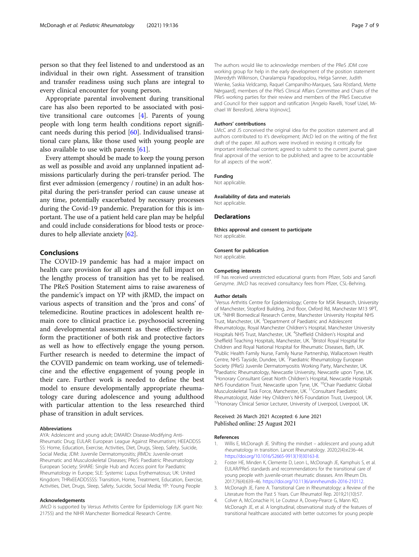<span id="page-6-0"></span>person so that they feel listened to and understood as an individual in their own right. Assessment of transition and transfer readiness using such plans are integral to every clinical encounter for young person.

Appropriate parental involvement during transitional care has also been reported to be associated with positive transitional care outcomes [4]. Parents of young people with long term health conditions report significant needs during this period [\[60\]](#page-8-0). Individualised transitional care plans, like those used with young people are also available to use with parents [[61\]](#page-8-0).

Every attempt should be made to keep the young person as well as possible and avoid any unplanned inpatient admissions particularly during the peri-transfer period. The first ever admission (emergency / routine) in an adult hospital during the peri-transfer period can cause unease at any time, potentially exacerbated by necessary processes during the Covid-19 pandemic. Preparation for this is important. The use of a patient held care plan may be helpful and could include considerations for blood tests or procedures to help alleviate anxiety [[62](#page-8-0)].

# Conclusions

The COVID-19 pandemic has had a major impact on health care provision for all ages and the full impact on the lengthy process of transition has yet to be realised. The PReS Position Statement aims to raise awareness of the pandemic's impact on YP with jRMD, the impact on various aspects of transition and the 'pros and cons' of telemedicine. Routine practices in adolescent health remain core to clinical practice i.e. psychosocial screening and developmental assessment as these effectively inform the practitioner of both risk and protective factors as well as how to effectively engage the young person. Further research is needed to determine the impact of the COVID pandemic on team working, use of telemedicine and the effective engagement of young people in their care. Further work is needed to define the best model to ensure developmentally appropriate rheumatology care during adolescence and young adulthood with particular attention to the less researched third phase of transition in adult services.

### Abbreviations

AYA: Adolescent and young adult; DMARD: Disease-Modifying Anti-Rheumatic Drug; EULAR: European League Against Rheumatism; HEEADDSS SS: Home, Education, Exercise, Activities, Diet, Drugs, Sleep, Safety, Suicide, Social Media; JDM: Juvenile Dermatomyositis; jRMDs: Juvenile-onset Rheumatic and Musculoskeletal Diseases; PReS: Paediatric Rheumatology European Society; SHARE: Single Hub and Access point for Paediatric Rheumatology in Europe; SLE: Systemic Lupus Erythematosus; UK: United Kingdom; THRxEEADDSSSS: Transition, Home, Treatment, Education, Exercise, Activities, Diet, Drugs, Sleep, Safety, Suicide, Social Media; YP: Young People

#### Acknowledgements

JMcD is supported by Versus Arthritis Centre for Epidemiology (UK grant No: 21755) and the NIHR Manchester Biomedical Research Centre.

The authors would like to acknowledge members of the PReS JDM core working group for help in the early development of the position statement [Meredyth Wilkinson, Charalampia Papadopolou, Helga Sanner, Judith Wienke, Saskia Veldcamp, Raquel Campanilho-Marques, Sara Röstland, Mette Nǿrgaard], members of the PReS Clinical Affairs Committee and Chairs of the PReS working parties for their review and members of the PReS Executive and Council for their support and ratification [Angelo Ravelli, Yosef Uziel, Michael W Beresford, Jelena Vojinovic].

#### Authors' contributions

LMcC and JS conceived the original idea for the position statement and all authors contributed to it's development; JMcD led on the writing of the first draft of the paper. All authors were involved in revising it critically for important intellectual content; agreed to submit to the current journal; gave final approval of the version to be published; and agree to be accountable for all aspects of the work".

# Funding

Not applicable.

#### Availability of data and materials

Not applicable.

# Declarations

Ethics approval and consent to participate Not applicable.

#### Consent for publication

Not applicable.

#### Competing interests

HF has received unrestricted educational grants from Pfizer, Sobi and Sanofi Genzyme. JMcD has received consultancy fees from Pfizer, CSL-Behring.

#### Author details

<sup>1</sup>Versus Arthritis Centre for Epidemiology; Centre for MSK Research, University of Manchester, Stopford Building, 2nd floor, Oxford Rd, Manchester M13 9PT, UK. <sup>2</sup>NIHR Biomedical Research Centre, Manchester University Hospital NHS Trust, Manchester, UK. <sup>3</sup>Department of Paediatric and Adolescent Rheumatology, Royal Manchester Children's Hospital, Manchester University Hospitals NHS Trust, Manchester, UK. <sup>4</sup>Sheffield Children's Hospital and Sheffield Teaching Hospitals, Manchester, UK. <sup>5</sup>Bristol Royal Hospital for Children and Royal National Hospital for Rheumatic Diseases, Bath, UK. 6 Public Health Family Nurse, Family Nurse Partnership, Wallacetown Health Centre, NHS Tayside, Dundee, UK. 7Paediatric Rheumatology European Society (PReS) Juvenile Dermatomyositis Working Party, Manchester, UK. <sup>8</sup>Paediatric Rheumatology, Newcastle University, Newcastle upon Tyne, UK <sup>9</sup>Honorary Consultant Great North Children's Hospital, Newcastle Hospitals NHS Foundation Trust, Newcastle upon Tyne, UK. <sup>10</sup>Chair Paediatric Global Musculoskeletal Task Force, Manchester, UK.<sup>11</sup>Consultant Paediatric Rheumatologist, Alder Hey Children's NHS Foundation Trust, Liverpool, UK.<br><sup>12</sup>Honorary Clinical Senior Lecturer, University of Liverpool, Liverpool, UK.

# Received: 26 March 2021 Accepted: 6 June 2021 Published online: 25 August 2021

# References

- 1. Willis E, McDonagh JE. Shifting the mindset adolescent and young adult rheumatology in transition. Lancet Rheumatology. 2020;2(4):e236–44. [https://doi.org/10.1016/S2665-9913\(19\)30163-8.](https://doi.org/10.1016/S2665-9913(19)30163-8)
- 2. Foster HE, Minden K, Clemente D, Leon L, McDonagh JE, Kamphuis S, et al. EULAR/PReS standards and recommendations for the transitional care of young people with juvenile-onset rheumatic diseases. Ann Rheum Dis. 2017;76(4):639–46. [https://doi.org/10.1136/annrheumdis-2016-210112.](https://doi.org/10.1136/annrheumdis-2016-210112)
- 3. McDonagh JE, Farre A. Transitional Care in Rheumatology: a Review of the Literature from the Past 5 Years. Curr Rheumatol Rep. 2019;21(10):57.
- 4. Colver A, McConachie H, Le Couteur A, Dovey-Pearce G, Mann KD, McDonagh JE, et al. A longitudinal, observational study of the features of transitional healthcare associated with better outcomes for young people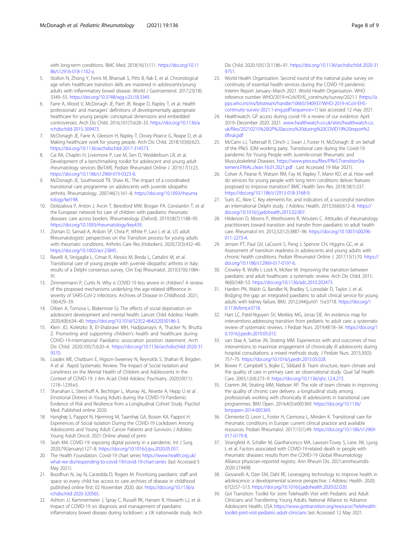<span id="page-7-0"></span>with long-term conditions. BMC Med. 2018;16(1):111. [https://doi.org/10.11](https://doi.org/10.1186/s12916-018-1102-y) [86/s12916-018-1102-y.](https://doi.org/10.1186/s12916-018-1102-y)

- 5. Stollon N, Zhong Y, Ferris M, Bhansali S, Pitts B, Rak E, et al. Chronological age when healthcare transition skills are mastered in adolescents/young adults with inflammatory bowel disease. World J Gastroenterol. 2017;23(18): 3349–55. <https://doi.org/10.3748/wjg.v23.i18.3349>.
- 6. Farre A, Wood V, McDonagh JE, Parrt JR, Reape D, Rapley T, et al. Health professionals' and managers' definitions of developmentally appropriate healthcare for young people: conceptual dimensions and embedded controversies. Arch Dis Child. 2016;101(7):628–33. [https://doi.org/10.1136/a](https://doi.org/10.1136/archdischild-2015-309473) [rchdischild-2015-309473.](https://doi.org/10.1136/archdischild-2015-309473)
- 7. McDonagh JE, Farre A, Gleeson H, Rapley T, Dovey-Pearce G, Reape D, et al. Making healthcare work for young people. Arch Dis Child. 2018;103(6):623. <https://doi.org/10.1136/archdischild-2017-314573>.
- 8. Cai RA, Chaplin H, Livermore P, Lee M, Sen D, Wedderburn LR, et al. Development of a benchmarking toolkit for adolescent and young adult rheumatology services (BeTAR). Pediatr Rheumatol Online J. 2019;17(1):23. <https://doi.org/10.1186/s12969-019-0323-8>.
- 9. McDonagh JE, Southwood TR, Shaw KL. The impact of a coordinated transitional care programme on adolescents with juvenile idiopathic arthritis. Rheumatology. 2007;46(1):161–8. [https://doi.org/10.1093/rheuma](https://doi.org/10.1093/rheumatology/kel198) [tology/kel198](https://doi.org/10.1093/rheumatology/kel198).
- 10. Dolezalova P, Anton J, Avcin T, Beresford MW, Brogan PA. Constantin T, et al the European network for care of children with paediatric rheumatic diseases: care across borders. Rheumatology (Oxford). 2019;58(7):1188–95. <https://doi.org/10.1093/rheumatology/key439>.
- 11. Zisman D, Samad A, Ardoin SP, Chira P, White P, Lavi I, et al. US adult Rheumatologists' perspectives on the Transition process for young adults with rheumatic conditions. Arthritis Care Res (Hoboken). 2020;72(3):432–40. [https://doi.org/10.1002/acr.23845.](https://doi.org/10.1002/acr.23845)
- 12. Ravelli A, Sinigaglia L, Cimaz R, Alessio M, Breda L, Cattalini M, et al. Transitional care of young people with juvenile idiopathic arthritis in Italy: results of a Delphi consensus survey. Clin Exp Rheumatol. 2019;37(6):1084– 91.
- 13. Zimmermann P, Curtis N. Why is COVID-19 less severe in children? A review of the proposed mechanisms underlying the age-related difference in severity of SARS-CoV-2 infections. Archives of Disease in Childhood. 2021; 106:429–39.
- 14. Orben A, Tomova L, Blakemore SJ. The effects of social deprivation on adolescent development and mental health. Lancet Child Adolesc Health. 2020;4(8):634–40. [https://doi.org/10.1016/S2352-4642\(20\)30186-3](https://doi.org/10.1016/S2352-4642(20)30186-3).
- 15. Klein JD, Koletzko B, El-Shabrawi MH, Hadjipanayis A, Thacker N, Bhutta Z. Promoting and supporting children's health and healthcare during COVID-19-international Paediatric association position statement. Arch Dis Child. 2020;105(7):620–4. [https://doi.org/10.1136/archdischild-2020-31](https://doi.org/10.1136/archdischild-2020-319370) [9370.](https://doi.org/10.1136/archdischild-2020-319370)
- 16. Loades ME, Chatburn E, Higson-Sweeney N, Reynolds S, Shafran R, Brigden A et al . Rapid Systematic Review: The Impact of Social Isolation and Loneliness on the Mental Health of Children and Adolescents in the Context of COVID-19. J Am Acad Child Adolesc Psychiatry. 2020;59(11): 1218–1239.e3.
- 17. Shanahan L, Steinhoff A, Bechtiger L, Murray AL, Nivette A, Hepp U et al. Emotional Distress in Young Adults during the COVID-19 Pandemic: Evidence of Risk and Resilience from a Longitudinal Cohort Study. Psychol Med. Published online 2020.
- 18. Hanghøj S, Pappot N, Hjerming M, Taarnhøj GA, Boisen KA, Pappot H. Experiences of Social Isolation During the COVID-19 Lockdown Among Adolescents and Young Adult Cancer Patients and Survivors J Adolesc Young Adult Oncol. 2021 Online ahead of print.
- 19. Seah KM. COVID-19: exposing digital poverty in a pandemic. Int J Surg. 2020;79(January):127–8. [https://doi.org/10.1016/j.ijsu.2020.05.057.](https://doi.org/10.1016/j.ijsu.2020.05.057)
- 20. The Health Foundation. Covid-19 chart series [https://www.health.org.uk/](https://www.health.org.uk/what-we-do/responding-to-covid-19/covid-19-chart-series) [what-we-do/responding-to-covid-19/covid-19-chart-series](https://www.health.org.uk/what-we-do/responding-to-covid-19/covid-19-chart-series) (last Accessed 5 May 2021).
- 21. Boodhun N, Jay N, Carzedda D, Rogers M. Prioritising paediatric staff and space so every child has access to care archives of disease in childhood published online first: 02 November 2020. doi: [https://doi.org/10.1136/a](https://doi.org/10.1136/archdischild-2020-320565) [rchdischild-2020-320565.](https://doi.org/10.1136/archdischild-2020-320565)
- 22. Ashton JJ, Kammermeier J, Spray C, Russell RK, Hansen R, Howarth LJ, et al. Impact of COVID-19 on diagnosis and management of paediatric inflammatory bowel disease during lockdown: a UK nationwide study. Arch

Dis Child. 2020;105(12):1186–91. [https://doi.org/10.1136/archdischild-2020-31](https://doi.org/10.1136/archdischild-2020-319751) [9751](https://doi.org/10.1136/archdischild-2020-319751).

- 23. World Health Organisation. Second round of the national pulse survey on continuity of essential health services during the COVID-19 pandemic: Interim Report January–March 2021. World Health Organisation. WHO reference number WHO/2019-nCoV/EHS\_continuity/survey/2021.1 [\(https://a](https://apps.who.int/iris/bitstream/handle/10665/340937/WHO-2019-nCoV-EHS-continuity-survey-2021.1-eng.pdf?sequence=1) [pps.who.int/iris/bitstream/handle/10665/340937/WHO-2019-nCoV-EHS](https://apps.who.int/iris/bitstream/handle/10665/340937/WHO-2019-nCoV-EHS-continuity-survey-2021.1-eng.pdf?sequence=1)[continuity-survey-2021.1-eng.pdf?sequence=1](https://apps.who.int/iris/bitstream/handle/10665/340937/WHO-2019-nCoV-EHS-continuity-survey-2021.1-eng.pdf?sequence=1)) last accessed 12 may 2021.
- 24. Healthwatch. GP access during covid-19: a review of our evidence: April 2019–December 2020. 2021. [www.healthwatch.co.uk/sites/healthwatch.co.](http://www.healthwatch.co.uk/sites/healthwatch.co.uk/files/20210215%20GP%20access%20during%20COVID19%20report%20final.pdf) [uk/files/20210215%20GP%20access%20during%20COVID19%20report%2](http://www.healthwatch.co.uk/sites/healthwatch.co.uk/files/20210215%20GP%20access%20during%20COVID19%20report%20final.pdf) [0final.pdf](http://www.healthwatch.co.uk/sites/healthwatch.co.uk/files/20210215%20GP%20access%20during%20COVID19%20report%20final.pdf)
- 25. McCann LJ, Tattersall R, Clinch J, Swan J, Foster H, McDonagh JE on behalf of the PReS JDM working party. Transitional care during the Covid-19 pandemic for Young People with Juvenile-onset Rheumatic and Musculoskeletal Diseases. [https://www.pres.eu/files/PReS.TransitionSta](https://www.pres.eu/files/PReS.TransitionStatement.FINAL.clean.16.01.2021.pdf) [tement.FINAL.clean.16.01.2021.pdf](https://www.pres.eu/files/PReS.TransitionStatement.FINAL.clean.16.01.2021.pdf) . Last Accessed 19 Mar 2021).
- 26. Colver A, Pearse R, Watson RM, Fay M, Rapley T, Mann KD, et al. How well do services for young people with long term conditions deliver features proposed to improve transition? BMC Health Serv Res. 2018;18(1):337. <https://doi.org/10.1186/s12913-018-3168-9>.
- 27. Suris JC, Akre C. Key elements for, and indicators of, a successful transition: an international Delphi study. J Adolesc Health. 2015;56(6):612–8. [https://](https://doi.org/10.1016/j.jadohealth.2015.02.007) [doi.org/10.1016/j.jadohealth.2015.02.007](https://doi.org/10.1016/j.jadohealth.2015.02.007).
- 28. Hilderson D, Moons P, Westhovens R, Wouters C. Attitudes of rheumatology practitioners toward transition and transfer from paediatric to adult health care. Rheumatol Int. 2012;32(12):3887–96. [https://doi.org/10.1007/s00296-](https://doi.org/10.1007/s00296-011-2273-4) [011-2273-4](https://doi.org/10.1007/s00296-011-2273-4).
- 29. Jensen PT, Paul GV, LaCount S, Peng J, Spencer CH, Higgins GC, et al. Assessment of transition readiness in adolescents and young adults with chronic health conditions. Pediatr Rheumatol Online J. 2017;15(1):70. [https://](https://doi.org/10.1186/s12969-017-0197-6) [doi.org/10.1186/s12969-017-0197-6.](https://doi.org/10.1186/s12969-017-0197-6)
- 30. Crowley R, Wolfe I, Lock K, McKee M. Improving the transition between paediatric and adult healthcare: a systematic review. Arch Dis Child. 2011; 96(6):548–53. [https://doi.org/10.1136/adc.2010.202473.](https://doi.org/10.1136/adc.2010.202473)
- 31. Harden PN, Walsh G, Bandler N, Bradley S, Lonsdale D, Taylor J, et al. Bridging the gap: an integrated paediatric to adult clinical service for young adults with kidney failure. BMJ. 2012;344(jun01 1):e3718. [https://doi.org/1](https://doi.org/10.1136/bmj.e3718) [0.1136/bmj.e3718.](https://doi.org/10.1136/bmj.e3718)
- 32. Hart LC, Patel-Nguyen SV, Merkley MG, Jonas DE. An evidence map for interventions addressing transition from pediatric to adult care: a systematic review of systematic reviews. J Pediatr Nurs. 2019;48:18–34. [https://doi.org/1](https://doi.org/10.1016/j.pedn.2019.05.015) [0.1016/j.pedn.2019.05.015](https://doi.org/10.1016/j.pedn.2019.05.015).
- 33. van Staa A, Sattoe JN, Strating MM. Experiences with and outcomes of two interventions to maximize engagement of chronically ill adolescents during hospital consultations: a mixed methods study. J Pediatr Nurs. 2015;30(5): 757–75. [https://doi.org/10.1016/j.pedn.2015.05.028.](https://doi.org/10.1016/j.pedn.2015.05.028)
- 34. Bower P, Campbell S, Bojke C, Sibbald B. Team structure, team climate and the quality of care in primary care: an observational study. Qual Saf Health Care. 2003;12(4):273–9. <https://doi.org/10.1136/qhc.12.4.273>.
- 35. Cramm JM, Strating MM, Nieboer AP. The role of team climate in improving the quality of chronic care delivery: a longitudinal study among professionals working with chronically ill adolescents in transitional care programmes. BMJ Open. 2014;4(5):e005369. [https://doi.org/10.1136/](https://doi.org/10.1136/bmjopen-2014-005369) [bmjopen-2014-005369.](https://doi.org/10.1136/bmjopen-2014-005369)
- 36. Clemente D, Leon L, Foster H, Carmona L, Minden K. Transitional care for rheumatic conditions in Europe: current clinical practice and available resources. Pediatr Rheumatol. 2017;15(1):49. [https://doi.org/10.1186/s12969-](https://doi.org/10.1186/s12969-017-0179-8) [017-0179-8](https://doi.org/10.1186/s12969-017-0179-8).
- 37. Strangfeld A, Schäfer M, Gianfrancesco MA, Lawson-Tovey S, Liew JW, Ljung L et al. Factors associated with COVID-19-related death in people with rheumatic diseases: results from the COVID-19 Global Rheumatology Alliance physician-reported registry. Ann Rheum Dis. 2021:annrheumdis-2020-219498.
- 38. Giovanelli A, Ozer EM, Dahl RE. Leveraging technology to improve health in adolescence: a developmental science perspective. J Adolesc Health. 2020; 67(2):S7–S13. [https://doi.org/10.1016/j.jadohealth.2020.02.020.](https://doi.org/10.1016/j.jadohealth.2020.02.020)
- 39. Got Transition. Toolkit for Joint Telehealth Visit with Pediatric and Adult Clinicians and Transferring Young Adults. National Alliance to Advance Adolescent Health, USA [https://www.gottransition.org/resource/?telehealth](https://www.gottransition.org/resource/?telehealth-toolkit-joint-visit-pediatric-adult-clinicians)[toolkit-joint-visit-pediatric-adult-clinicians](https://www.gottransition.org/resource/?telehealth-toolkit-joint-visit-pediatric-adult-clinicians) last Accessed 12 May 2021.